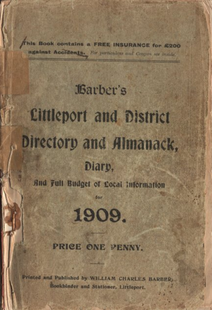This Book contains a FREE INSURANCE for £200 against Accidents. For particulars and Compon see hunde.

# **Jarber's Cittleport and District** Directory and Almanack,

## Diary,

And Full Budget of Cocal Information

for



#### PRICE ONE PENNY.

Printed and Published by WILLIAM CHARLES BARBER. Bookbinder and Stationer, Littleport.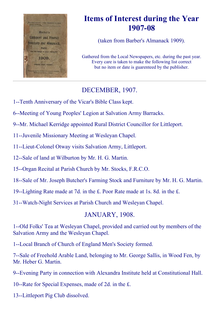

# Items of Interest during the Year 1907-08

(taken from Barber's Almanack 1909).

Gathered from the Local Newspapers, etc. during the past year. Every care is taken to make the following list correct but no item or date is guarenteed by the publisher.

## DECEMBER, 1907.

- 1--Tenth Anniversary of the Vicar's Bible Class kept.
- 6--Meeting of Young Peoples' Legion at Salvation Army Barracks.
- 9--Mr. Michael Kerridge appointed Rural District Councillor for Littleport.
- 11--Juvenile Missionary Meeting at Wesleyan Chapel.
- 11--Lieut-Colonel Otway visits Salvation Army, Littleport.
- 12--Sale of land at Wilburton by Mr. H. G. Martin.
- 15--Organ Recital at Parish Church by Mr. Stocks, F.R.C.O.
- 18--Sale of Mr. Joseph Butcher's Farming Stock and Furniture by Mr. H. G. Martin.
- 19--Lighting Rate made at 7d. in the  $E$ . Poor Rate made at 1s. 8d. in the  $E$ .
- 31--Watch-Night Services at Parish Church and Wesleyan Chapel.

## JANUARY, 1908.

1--Old Folks' Tea at Wesleyan Chapel, provided and carried out by members of the Salvation Army and the Wesleyan Chapel.

- 1--Local Branch of Church of England Men's Society formed.
- 7--Sale of Freehold Arable Land, belonging to Mr. George Sallis, in Wood Fen, by Mr. Heber G. Martin.
- 9--Evening Party in connection with Alexandra Institute held at Constitutional Hall.
- 10--Rate for Special Expenses, made of 2d. in the  $E$ .
- 13--Littleport Pig Club dissolved.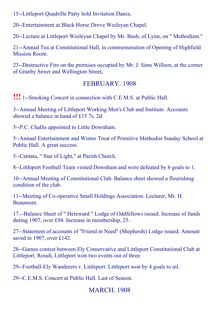15--Littleport Quadrille Party hold Invitation Dance.

20--Entertainment at Black Horse Drove Wesleyan Chapel.

20--Lecture at Littleport Wesleyan Chapel by Mr. Bush, of Lynn, on " Methodism."

21--Annual Tea at Constitutional Hall, in commemoration of Opening of Highfield Mission Room.

23--Destructive Fire on the premises occupied by Mr. J. Sims Willson, at the corner of Granby Street and Wellington Street,

## FEBRUARY. 1908

**!!!** 1--Smoking Concert in connection with C.E.M.S. at Public Hall.

3--Annual Meeting of Littleport Working Men's Club and Institute. Accounts showed a balance in hand of £15 7s. 2d.

3--P.C. Challis appointed to Little Downham.

5--Annual Entertainment and Winter Treat of Primitive Methodist Sunday School at Public Hall. A great success.

5--Cantata, " Star of Light," at Parish Church.

8--Littleport Football Team visited Downham and were defeated by 6 goals to 1.

10--Annual Meeting of Constitutional Club. Balance sheet showed a flourishing condition of the club.

11--Meeting of Co-operative Small Holdings Association. Lecturer, Mr. H. **Beaumont** 

17.--Balance Sheet of " Hereward " Lodge of Oddfellows issued. Increase of funds during 1907, over £94. Increase in membership, 25.

27--Statement of accounts of "Friend in Need" (Shepherds) Lodge issued. Amount saved in 1907, over £142.

28--Games contest between Ely Conservative and Littleport Constitutional Club at Littleport. Result, Littleport won two events out of three.

29--Football-Ely Wanderers v. Littleport. Littleport won by 4 goals to nil.

29--C.E.M.S. Concert at Public Hall. Last of Season.

## MARCH. 1908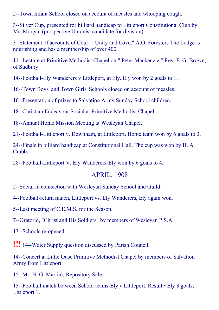2--Town Infant School closed on account of measles and whooping cough.

3--Silver Cup, presented for billiard handicap to Littleport Constitutional Club by Mr. Morgan (prospective Unionist candidate for division).

3--Statement of accounts of Court " Unity and Love," A.O, Foresters The Lodge is nourishing and has a membership of over 400.

11--Lecture at Primitive Methodist Chapel on " Peter Mackenzie," Rev. F. G. Brown, of Sudbury.

14--Football-Ely Wanderers v Littleport, at Ely. Ely won by 2 goals to 1.

16--Town Boys' and Town Girls' Schools closed on account of measles.

16--Presentation of prizes to Salvation Army Sunday School children.

18--Christian Endeavour Social at Primitive Methodist Chapel.

18--Annual Home Mission Meeting at Wesleyan Chapel.

21-Football-Littleport v. Downham, at Littleport. Home team won by 6 goals to 3.

24--Finals in billiard handicap at Constitutional Hall. The cup was won by H. A. Crabb.

28-Football-Littleport V. Ely Wanderers-Ely won by 6 goals to 4,

### APRIL. 1908

2--Social in connection with Wesleyan Sunday School and Guild.

4--Football-return match, Littleport vs. Ely Wanderers, Ely again won.

5--Last meeting of C.E.M.S. for the Season.

7--Oratorio, "Christ and His Soldiers" by members of Wesleyan P.S.A.

13--Schools re-opened.

**!!!** 14--Water Supply question discussed by Parish Council.

14--Concert at Little Ouse Primitive Methodist Chapel by members of Salvation Army from Littleport.

15--Mr. H. G. Martin's Repository Sale.

15--Football match between School teams-Ely v Littleport. Result • Ely 3 goals; Littleport 1.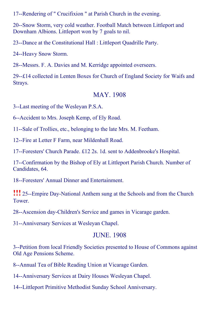17--Rendering of " Crucifixion " at Parish Church in the evening.

20--Snow Storm, very cold weather. Football Match between Littleport and Downham Albions. Littleport won by 7 goals to nil.

23--Dance at the Constitutional Hall : Littleport Quadrille Party.

24--Heavy Snow Storm.

28--Messrs. F. A. Davies and M. Kerridge appointed overseers.

29--£14 collected in Lenten Boxes for Church of England Society for Waifs and Strays.

#### MAY. 1908

3--Last meeting of the Wesleyan P.S.A.

6--Accident to Mrs. Joseph Kemp, of Ely Road.

11--Sale of Trollies, etc., belonging to the late Mrs. M. Feetham.

12--Fire at Letter F Farm, near Mildenhall Road.

17--Foresters' Church Parade. £12 2s. 1d. sent to Addenbrooke's Hospital.

17--Confirmation by the Bishop of Ely at Littleport Parish Church. Number of Candidates, 64.

18--Foresters' Annual Dinner and Entertainment.

**!!!** 25--Empire Day-National Anthem sung at the Schools and from the Church Tower.

28--Ascension day-Children's Service and games in Vicarage garden.

31--Anniversary Services at Wesleyan Chapel.

#### JUNE. 1908

3--Petition from local Friendly Societies presented to House of Commons against Old Age Pensions Scheme.

8--Annual Tea of Bible Reading Union at Vicarage Garden.

14--Anniversary Services at Dairy Houses Wesleyan Chapel.

14--Littleport Primitive Methodist Sunday School Anniversary.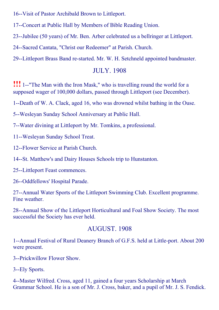16--Visit of Pastor Archibald Brown to Littleport.

17--Concert at Public Hall by Members of Bible Reading Union.

23--Jubilee (50 years) of Mr. Ben. Arber celebrated us a bellringer at Littleport.

24--Sacred Cantata, "Christ our Redeemer" at Parish. Church.

29--Littleport Brass Band re-started. Mr. W. H. Setchneld appointed bandmaster.

## JULY. 1908

**!!!** 1--"The Man with the Iron Mask," who is travelling round the world for a supposed wager of 100,000 dollars, passed through Littleport (see December).

1--Death of W. A. Clack, aged 16, who was drowned whilst bathing in the Ouse.

5--Wesleyan Sunday School Anniversary at Public Hall.

7--Water divining at Littleport by Mr. Tomkins, a professional.

11--Wesleyan Sunday School Treat.

12--Flower Service at Parish Church.

14--St. Matthew's and Dairy Houses Schools trip to Hunstanton.

25--Littleport Feast commences.

26--Oddfellows' Hospital Parade.

27--Annual Water Sports of the Littleport Swimming Club. Excellent programme. Fine weather.

28--Annual Show of the Littleport Horticultural and Foal Show Society. The most successful the Society has ever held.

## AUGUST. 1908

1--Annual Festival of Rural Deanery Branch of G.F.S. held at Little-port. About 200 were present.

3--Prickwillow Flower Show.

3--Ely Sports.

4--Master Wilfred. Cross, aged 11, gained a four years Scholarship at March Grammar School. He is a son of Mr. J. Cross, baker, and a pupil of Mr. J. S. Fendick.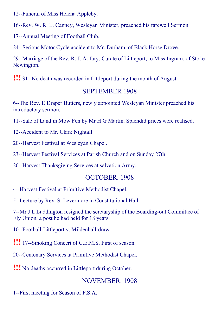12--Funeral of Miss Helena Appleby.

16--Rev. W. R. L. Canney, Wesleyan Minister, preached his farewell Sermon.

17--Annual Meeting of Football Club.

24--Serious Motor Cycle accident to Mr. Durham, of Black Horse Drove.

29--Marriage of the Rev. R. J. A. Jary, Curate of Littleport, to Miss Ingram, of Stoke Newington.

**!!!** 31--No death was recorded in Littleport during the month of August.

## SEPTEMBER 1908

6--The Rev. E Draper Butters, newly appointed Wesleyan Minister preached his introductory sermon.

11--Sale of Land in Mow Fen by Mr H G Martin. Splendid prices were realised.

12--Accident to Mr. Clark Nightall

20--Harvest Festival at Wesleyan Chapel.

23--Hervest Festival Services at Parish Church and on Sunday 27th.

26--Harvest Thanksgiving Services at salvation Army.

## OCTOBER. 1908

4--Harvest Festival at Primitive Methodist Chapel.

5--Lecture by Rev. S. Levermore in Constitutional Hall

7--Mr J L Luddington resigned the scretaryship of the Boarding-out Committee of Ely Union, a post he had held for 18 years.

10--Football-Littleport v. Mildenhall-draw.

**!!!** 17--Smoking Concert of C.E.M.S. First of season.

20--Centenary Services at Primitive Methodist Chapel.

!!! No deaths occurred in Littleport during October.

## NOVEMBER. 1908

1--First meeting for Season of P.S.A.